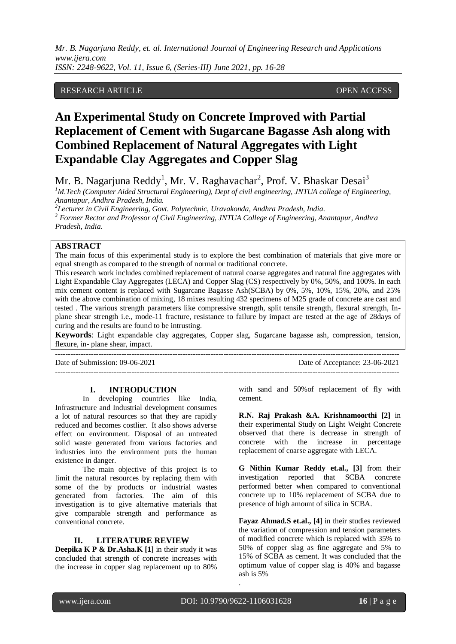*ISSN: 2248-9622, Vol. 11, Issue 6, (Series-III) June 2021, pp. 16-28*

# RESEARCH ARTICLE **CONSERVERS** OPEN ACCESS

# **An Experimental Study on Concrete Improved with Partial Replacement of Cement with Sugarcane Bagasse Ash along with Combined Replacement of Natural Aggregates with Light Expandable Clay Aggregates and Copper Slag**

Mr. B. Nagarjuna Reddy $^1$ , Mr. V. Raghavachar $^2$ , Prof. V. Bhaskar Desai $^3$ 

*<sup>1</sup>M.Tech (Computer Aided Structural Engineering), Dept of civil engineering, JNTUA college of Engineering, Anantapur, Andhra Pradesh, India.*

*2 Lecturer in Civil Engineering, Govt. Polytechnic, Uravakonda, Andhra Pradesh, India.*

---------------------------------------------------------------------------------------------------------------------------------------

*<sup>3</sup> Former Rector and Professor of Civil Engineering, JNTUA College of Engineering, Anantapur, Andhra Pradesh, India.*

# **ABSTRACT**

The main focus of this experimental study is to explore the best combination of materials that give more or equal strength as compared to the strength of normal or traditional concrete.

This research work includes combined replacement of natural coarse aggregates and natural fine aggregates with Light Expandable Clay Aggregates (LECA) and Copper Slag (CS) respectively by 0%, 50%, and 100%. In each mix cement content is replaced with Sugarcane Bagasse Ash(SCBA) by 0%, 5%, 10%, 15%, 20%, and 25% with the above combination of mixing, 18 mixes resulting 432 specimens of M25 grade of concrete are cast and tested . The various strength parameters like compressive strength, split tensile strength, flexural strength, Inplane shear strength i.e., mode-11 fracture, resistance to failure by impact are tested at the age of 28days of curing and the results are found to be intrusting.

**Keywords**: Light expandable clay aggregates, Copper slag, Sugarcane bagasse ash, compression, tension, flexure, in- plane shear, impact.

---------------------------------------------------------------------------------------------------------------------------------------

Date of Submission: 09-06-2021 Date of Acceptance: 23-06-2021

# **I. INTRODUCTION**

In developing countries like India, Infrastructure and Industrial development consumes a lot of natural resources so that they are rapidly reduced and becomes costlier. It also shows adverse effect on environment. Disposal of an untreated solid waste generated from various factories and industries into the environment puts the human existence in danger.

The main objective of this project is to limit the natural resources by replacing them with some of the by products or industrial wastes generated from factories. The aim of this investigation is to give alternative materials that give comparable strength and performance as conventional concrete.

# **II. LITERATURE REVIEW**

**Deepika K P & Dr.Asha.K [1]** in their study it was concluded that strength of concrete increases with the increase in copper slag replacement up to 80%

with sand and 50%of replacement of fly with cement.

**R.N. Raj Prakash &A. Krishnamoorthi [2]** in their experimental Study on Light Weight Concrete observed that there is decrease in strength of concrete with the increase in percentage replacement of coarse aggregate with LECA.

**G Nithin Kumar Reddy et.al., [3]** from their investigation reported that SCBA concrete performed better when compared to conventional concrete up to 10% replacement of SCBA due to presence of high amount of silica in SCBA.

**Fayaz Ahmad.S et.al., [4]** in their studies reviewed the variation of compression and tension parameters of modified concrete which is replaced with 35% to 50% of copper slag as fine aggregate and 5% to 15% of SCBA as cement. It was concluded that the optimum value of copper slag is 40% and bagasse ash is 5%

.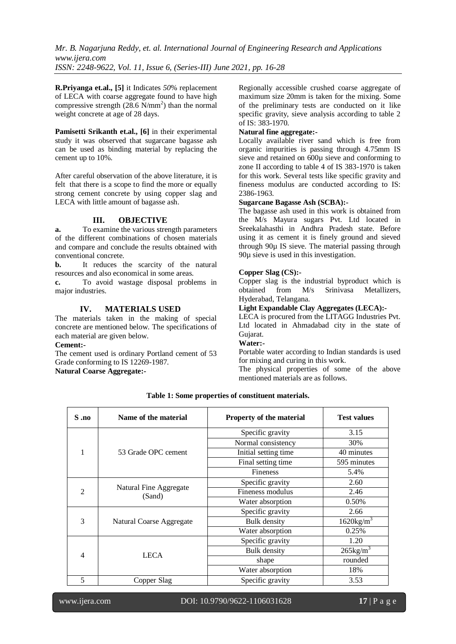**R.Priyanga et.al., [5]** it Indicates *50*% replacement of LECA with coarse aggregate found to have high compressive strength  $(28.6 \text{ N/mm}^2)$  than the normal weight concrete at age of 28 days.

**Pamisetti Srikanth et.al., [6]** in their experimental study it was observed that sugarcane bagasse ash can be used as binding material by replacing the cement up to 10%.

After careful observation of the above literature, it is felt that there is a scope to find the more or equally strong cement concrete by using copper slag and LECA with little amount of bagasse ash.

# **III. OBJECTIVE**

**a.** To examine the various strength parameters of the different combinations of chosen materials and compare and conclude the results obtained with conventional concrete.

**b.** It reduces the scarcity of the natural resources and also economical in some areas.

**c.** To avoid wastage disposal problems in major industries.

# **IV. MATERIALS USED**

The materials taken in the making of special concrete are mentioned below. The specifications of each material are given below.

**Cement:-**

The cement used is ordinary Portland cement of 53 Grade conforming to IS 12269-1987. **Natural Coarse Aggregate:-**

Regionally accessible crushed coarse aggregate of maximum size 20mm is taken for the mixing. Some of the preliminary tests are conducted on it like specific gravity, sieve analysis according to table 2 of IS: 383-1970.

# **Natural fine aggregate:-**

Locally available river sand which is free from organic impurities is passing through 4.75mm IS sieve and retained on 600µ sieve and conforming to zone II according to table 4 of IS 383-1970 is taken for this work. Several tests like specific gravity and fineness modulus are conducted according to IS: 2386-1963.

# **Sugarcane Bagasse Ash (SCBA):-**

The bagasse ash used in this work is obtained from the M/s Mayura sugars Pvt. Ltd located in Sreekalahasthi in Andhra Pradesh state. Before using it as cement it is finely ground and sieved through 90µ IS sieve. The material passing through 90µ sieve is used in this investigation.

# **Copper Slag (CS):-**

Copper slag is the industrial byproduct which is obtained from M/s Srinivasa Metallizers, Hyderabad, Telangana.

# **Light Expandable Clay Aggregates (LECA):-**

LECA is procured from the LITAGG Industries Pvt. Ltd located in Ahmadabad city in the state of Gujarat.

# **Water:-**

Portable water according to Indian standards is used for mixing and curing in this work.

The physical properties of some of the above mentioned materials are as follows.

| $S \cdot no$   | Name of the material     | Property of the material | <b>Test values</b>       |
|----------------|--------------------------|--------------------------|--------------------------|
|                |                          | Specific gravity         | 3.15                     |
|                |                          | Normal consistency       | 30%                      |
|                | 53 Grade OPC cement      | Initial setting time     | 40 minutes               |
|                |                          | Final setting time       | 595 minutes              |
|                |                          | <b>Fineness</b>          | 5.4%                     |
|                | Natural Fine Aggregate   | Specific gravity         | 2.60                     |
| $\mathfrak{D}$ | (Sand)                   | Fineness modulus         | 2.46                     |
|                |                          | Water absorption         | 0.50%                    |
|                |                          | Specific gravity         | 2.66                     |
| 3              | Natural Coarse Aggregate | <b>Bulk</b> density      | $1620$ kg/m <sup>3</sup> |
|                |                          | Water absorption         | 0.25%                    |
|                |                          | Specific gravity         | 1.20                     |
| $\overline{4}$ | <b>LECA</b>              | <b>Bulk</b> density      | $265\text{kg/m}^3$       |
|                |                          | shape                    | rounded                  |
|                |                          | Water absorption         | 18%                      |
| 5              | Copper Slag              | Specific gravity         | 3.53                     |

# **Table 1: Some properties of constituent materials.**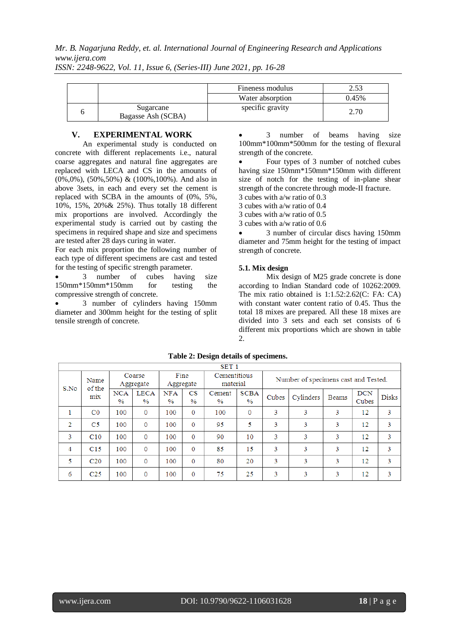*ISSN: 2248-9622, Vol. 11, Issue 6, (Series-III) June 2021, pp. 16-28*

|                                 | Fineness modulus |       |
|---------------------------------|------------------|-------|
|                                 | Water absorption | 0.45% |
| Sugarcane<br>Bagasse Ash (SCBA) | specific gravity | 2.70  |

# **V. EXPERIMENTAL WORK**

An experimental study is conducted on concrete with different replacements i.e., natural coarse aggregates and natural fine aggregates are replaced with LECA and CS in the amounts of (0%,0%), (50%,50%) & (100%,100%). And also in above 3sets, in each and every set the cement is replaced with SCBA in the amounts of (0%, 5%, 10%, 15%, 20%& 25%). Thus totally 18 different mix proportions are involved. Accordingly the experimental study is carried out by casting the specimens in required shape and size and specimens are tested after 28 days curing in water.

For each mix proportion the following number of each type of different specimens are cast and tested for the testing of specific strength parameter.

 3 number of cubes having size 150mm\*150mm\*150mm for testing the compressive strength of concrete.

 3 number of cylinders having 150mm diameter and 300mm height for the testing of split tensile strength of concrete.

 3 number of beams having size 100mm\*100mm\*500mm for the testing of flexural strength of the concrete.

 Four types of 3 number of notched cubes having size 150mm\*150mm\*150mm with different size of notch for the testing of in-plane shear strength of the concrete through mode-II fracture.

3 cubes with a/w ratio of 0.3 3 cubes with a/w ratio of 0.4

3 cubes with a/w ratio of 0.5

3 cubes with a/w ratio of 0.6

 3 number of circular discs having 150mm diameter and 75mm height for the testing of impact strength of concrete.

# **5.1. Mix design**

Mix design of M25 grade concrete is done according to Indian Standard code of 10262:2009. The mix ratio obtained is 1:1.52:2.62(C: FA: CA) with constant water content ratio of 0.45. Thus the total 18 mixes are prepared. All these 18 mixes are divided into 3 sets and each set consists of 6 different mix proportions which are shown in table  $\mathcal{L}$ 

|      | SET <sub>1</sub> |                             |                     |                    |                      |                          |                              |                                      |           |              |                     |              |  |
|------|------------------|-----------------------------|---------------------|--------------------|----------------------|--------------------------|------------------------------|--------------------------------------|-----------|--------------|---------------------|--------------|--|
| S.No | Name<br>of the   |                             | Coarse<br>Aggregate | Fine<br>Aggregate  |                      | Cementitious<br>material |                              | Number of specimens cast and Tested. |           |              |                     |              |  |
|      | mix              | <b>NCA</b><br>$\frac{0}{0}$ | <b>LECA</b><br>$\%$ | <b>NFA</b><br>$\%$ | CS.<br>$\frac{0}{0}$ | Cement<br>$\frac{0}{0}$  | <b>SCBA</b><br>$\frac{0}{0}$ | Cubes                                | Cylinders | <b>Beams</b> | <b>DCN</b><br>Cubes | <b>Disks</b> |  |
|      | $_{\rm CO}$      | 100                         | 0                   | 100                | $\Omega$             | 100                      | $\mathbf{0}$                 | 3                                    | 3         | 3            | 12                  | 3            |  |
| 2    | C5               | 100                         | $\Omega$            | 100                | $\Omega$             | 95                       | 5                            | 3                                    | 3         | 3            | 12                  | 3            |  |
| 3    | C10              | 100                         | 0                   | 100                | $\Omega$             | 90                       | 10                           | 3                                    | 3         | 3            | 12                  | 3            |  |
| 4    | C15              | 100                         | $\mathbf{0}$        | 100                | $\Omega$             | 85                       | 15                           | 3                                    | 3         | 3            | 12                  | 3            |  |
| 5    | C <sub>20</sub>  | 100                         | 0                   | 100                | $\Omega$             | 80                       | 20                           | 3                                    | 3         | 3            | 12                  | 3            |  |
| 6    | C <sub>25</sub>  | 100                         | 0                   | 100                | $\Omega$             | 75                       | 25                           | 3                                    | 3         | 3            | 12                  | 3            |  |

## **Table 2: Design details of specimens.**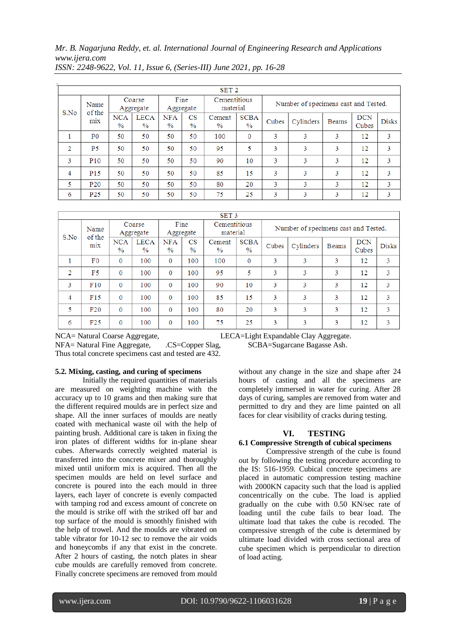|      | SET <sub>2</sub> |                    |                              |                             |                              |                         |                              |       |                                      |       |                     |              |  |
|------|------------------|--------------------|------------------------------|-----------------------------|------------------------------|-------------------------|------------------------------|-------|--------------------------------------|-------|---------------------|--------------|--|
| S.No | Name<br>of the   |                    | Coarse<br>Aggregate          | Fine<br>Aggregate           |                              |                         | Cementitious<br>material     |       | Number of specimens cast and Tested. |       |                     |              |  |
|      | mix              | <b>NCA</b><br>$\%$ | <b>LECA</b><br>$\frac{0}{0}$ | <b>NFA</b><br>$\frac{0}{0}$ | $_{\rm CS}$<br>$\frac{0}{2}$ | Cement<br>$\frac{0}{2}$ | <b>SCBA</b><br>$\frac{0}{0}$ | Cubes | Cylinders                            | Beams | <b>DCN</b><br>Cubes | <b>Disks</b> |  |
|      | P <sub>0</sub>   | 50                 | 50                           | 50                          | 50                           | 100                     | $\Omega$                     | 3     | 3                                    | 3     | 12                  | 3            |  |
| ∍    | P <sub>5</sub>   | 50                 | 50                           | 50                          | 50                           | 95                      | 5                            | 3     | 3                                    | 3     | 12                  | 3            |  |
| 3    | <b>P10</b>       | 50                 | 50                           | 50                          | 50                           | 90                      | 10                           | 3     | 3                                    | 3     | 12                  | 3            |  |
| 4    | P <sub>15</sub>  | 50                 | 50                           | 50                          | 50                           | 85                      | 15                           | 3     | 3                                    | 3     | 12                  | 3            |  |
| 5    | P <sub>20</sub>  | 50                 | 50                           | 50                          | 50                           | 80                      | 20                           | 3     | 3                                    | 3     | 12                  | 3            |  |
| 6    | P <sub>25</sub>  | 50                 | 50                           | 50                          | 50                           | 75                      | 25                           | 3     | 3                                    | 3     | 12                  | 3            |  |

*ISSN: 2248-9622, Vol. 11, Issue 6, (Series-III) June 2021, pp. 16-28*

|                        | SET <sub>3</sub> |                      |                              |                             |                                         |                          |                              |                                      |           |       |                     |              |  |
|------------------------|------------------|----------------------|------------------------------|-----------------------------|-----------------------------------------|--------------------------|------------------------------|--------------------------------------|-----------|-------|---------------------|--------------|--|
| Name<br>of the<br>S.No |                  | Coarse<br>Aggregate  |                              | Fine<br>Aggregate           |                                         | Cementitious<br>material |                              | Number of specimens cast and Tested. |           |       |                     |              |  |
|                        | mix              | NCA<br>$\frac{0}{2}$ | <b>LECA</b><br>$\frac{0}{0}$ | <b>NFA</b><br>$\frac{0}{0}$ | $\overline{\text{CS}}$<br>$\frac{0}{0}$ | Cement<br>$\%$           | <b>SCBA</b><br>$\frac{0}{2}$ | Cubes                                | Cylinders | Beams | <b>DCN</b><br>Cubes | <b>Disks</b> |  |
|                        | F0               | $\Omega$             | 100                          | $\mathbf{0}$                | 100                                     | 100                      | $\mathbf{0}$                 | 3                                    | 3         | 3     | 12                  | 3            |  |
| $\overline{2}$         | F5               | $\mathbf{0}$         | 100                          | $\mathbf{0}$                | 100                                     | 95                       | 5                            | 3                                    | 3         | 3     | 12                  | 3            |  |
| 3                      | F10              | $\Omega$             | 100                          | $\mathbf{0}$                | 100                                     | 90                       | 10                           | 3                                    | 3         | 3     | 12                  | 3            |  |
| 4                      | F15              | $\mathbf{0}$         | 100                          | 0                           | 100                                     | 85                       | 15                           | 3                                    | 3         | 3     | 12                  | 3            |  |
| 5                      | F20              | $\Omega$             | 100                          | $\mathbf{0}$                | 100                                     | 80                       | 20                           | 3                                    | 3         | 3     | 12                  | 3            |  |
| 6                      | F <sub>25</sub>  | 0                    | 100                          | 0                           | 100                                     | 75                       | 25                           | 3                                    | 3         | 3     | 12                  | 3            |  |

NFA= Natural Fine Aggregate, .CS=Copper Slag, SCBA=Sugarcane Bagasse Ash. Thus total concrete specimens cast and tested are 432.

# **5.2. Mixing, casting, and curing of specimens**

Initially the required quantities of materials are measured on weighting machine with the accuracy up to 10 grams and then making sure that the different required moulds are in perfect size and shape. All the inner surfaces of moulds are neatly coated with mechanical waste oil with the help of painting brush. Additional care is taken in fixing the iron plates of different widths for in-plane shear cubes. Afterwards correctly weighted material is transferred into the concrete mixer and thoroughly mixed until uniform mix is acquired. Then all the specimen moulds are held on level surface and concrete is poured into the each mould in three layers, each layer of concrete is evenly compacted with tamping rod and excess amount of concrete on the mould is strike off with the striked off bar and top surface of the mould is smoothly finished with the help of trowel. And the moulds are vibrated on table vibrator for 10-12 sec to remove the air voids and honeycombs if any that exist in the concrete. After 2 hours of casting, the notch plates in shear cube moulds are carefully removed from concrete. Finally concrete specimens are removed from mould

NCA= Natural Coarse Aggregate, LECA=Light Expandable Clay Aggregate.

without any change in the size and shape after 24 hours of casting and all the specimens are completely immersed in water for curing. After 28 days of curing, samples are removed from water and permitted to dry and they are lime painted on all faces for clear visibility of cracks during testing.

# **VI. TESTING**

#### **6.1 Compressive Strength of cubical specimens**

Compressive strength of the cube is found out by following the testing procedure according to the IS: 516-1959. Cubical concrete specimens are placed in automatic compression testing machine with 2000KN capacity such that the load is applied concentrically on the cube. The load is applied gradually on the cube with 0.50 KN/sec rate of loading until the cube fails to bear load. The ultimate load that takes the cube is recoded. The compressive strength of the cube is determined by ultimate load divided with cross sectional area of cube specimen which is perpendicular to direction of load acting.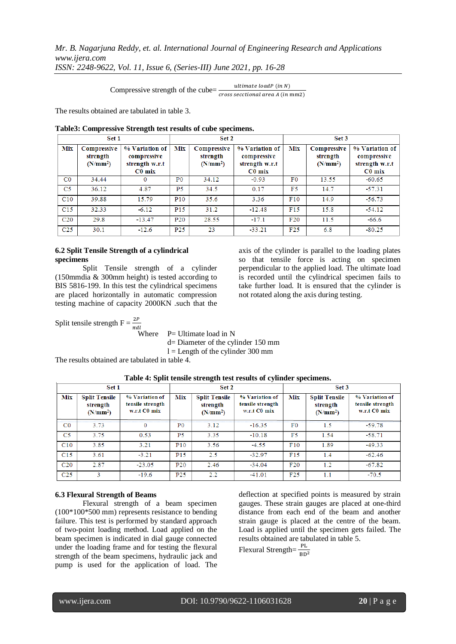*ISSN: 2248-9622, Vol. 11, Issue 6, (Series-III) June 2021, pp. 16-28*

Compressive strength of the cube= $\frac{u}{cross}$ 

The results obtained are tabulated in table 3.

|                 | Set 1                                           |                                                             |                 | Set 2                                           |                                                             |            | Set 3                                 |                                                             |
|-----------------|-------------------------------------------------|-------------------------------------------------------------|-----------------|-------------------------------------------------|-------------------------------------------------------------|------------|---------------------------------------|-------------------------------------------------------------|
| Mix             | Compressive<br>strength<br>(N/mm <sup>2</sup> ) | % Variation of<br>compressive<br>strength w.r.t<br>$C0$ mix | Mix             | Compressive<br>strength<br>(N/mm <sup>2</sup> ) | % Variation of<br>compressive<br>strength w.r.t<br>$C0$ mix | <b>Mix</b> | Compressive<br>strength<br>$(N/mm^2)$ | % Variation of<br>compressive<br>strength w.r.t<br>$C0$ mix |
| $_{\rm CO}$     | 34.44                                           |                                                             | P <sub>0</sub>  | 34.12                                           | $-0.93$                                                     | F0         | 13.55                                 | $-60.65$                                                    |
| C5              | 36.12                                           | 4.87                                                        | P <sub>5</sub>  | 34.5                                            | 0.17                                                        | F5         | 14.7                                  | $-57.31$                                                    |
| C10             | 39.88                                           | 15.79                                                       | P <sub>10</sub> | 35.6                                            | 3.36                                                        | F10        | 14.9                                  | $-56.73$                                                    |
| C15             | 32.33                                           | $-6.12$                                                     | P <sub>15</sub> | 31.2                                            | $-12.48$                                                    | F15        | 15.8                                  | $-54.12$                                                    |
| C <sub>20</sub> | 29.8                                            | $-13.47$                                                    | <b>P20</b>      | 28.55                                           | $-17.1$                                                     | F20        | 11.5                                  | $-66.6$                                                     |
| C <sub>25</sub> | 30.1                                            | $-12.6$                                                     | P <sub>25</sub> | 23                                              | $-33.21$                                                    | F25        | 6.8                                   | $-80.25$                                                    |

# **Table3: Compressive Strength test results of cube specimens.**

#### **6.2 Split Tensile Strength of a cylindrical specimens**

Split Tensile strength of a cylinder (150mmdia & 300mm height) is tested according to BIS 5816-199. In this test the cylindrical specimens are placed horizontally in automatic compression testing machine of capacity 2000KN .such that the axis of the cylinder is parallel to the loading plates so that tensile force is acting on specimen perpendicular to the applied load. The ultimate load is recorded until the cylindrical specimen fails to take further load. It is ensured that the cylinder is not rotated along the axis during testing.

Split tensile strength  $F = \frac{2}{\pi}$ 

Where  $P=$  Ultimate load in N d= Diameter of the cylinder 150 mm  $l =$  Length of the cylinder 300 mm

The results obtained are tabulated in table 4.

|                 | Set 1                                                    |                                                    |                 | Set 2                                                    |                                                    | Set 3 |                                                          |                                                    |  |
|-----------------|----------------------------------------------------------|----------------------------------------------------|-----------------|----------------------------------------------------------|----------------------------------------------------|-------|----------------------------------------------------------|----------------------------------------------------|--|
| Mix             | <b>Split Tensile</b><br>strength<br>(N/mm <sup>2</sup> ) | % Variation of<br>tensile strength<br>w.r.t C0 mix | Mix             | <b>Split Tensile</b><br>strength<br>(N/mm <sup>2</sup> ) | % Variation of<br>tensile strength<br>w.r.t C0 mix | Mix   | <b>Split Tensile</b><br>strength<br>(N/mm <sup>2</sup> ) | % Variation of<br>tensile strength<br>w.r.t C0 mix |  |
| $_{\rm CO}$     | 3.73                                                     |                                                    | P <sub>0</sub>  | 3.12                                                     | $-16.35$                                           | F0    | 1.5                                                      | $-59.78$                                           |  |
| C <sub>5</sub>  | 3.75                                                     | 0.53                                               | P5              | 3.35                                                     | $-10.18$                                           | F5.   | 1.54                                                     | $-58.71$                                           |  |
| C10             | 3.85                                                     | 3.21                                               | P <sub>10</sub> | 3.56                                                     | $-4.55$                                            | F10   | 1.89                                                     | $-49.33$                                           |  |
| C15             | 3.61                                                     | $-3.21$                                            | P <sub>15</sub> | 2.5                                                      | $-32.97$                                           | F15   | 1.4                                                      | $-62.46$                                           |  |
| C <sub>20</sub> | 2.87                                                     | $-23.05$                                           | P <sub>20</sub> | 2.46                                                     | $-34.04$                                           | F20   | 1.2                                                      | $-67.82$                                           |  |
| C <sub>25</sub> | R                                                        | $-19.6$                                            | P <sub>25</sub> | 2.2                                                      | $-41.01$                                           | F25   | 1.1                                                      | $-70.5$                                            |  |

# **Table 4: Split tensile strength test results of cylinder specimens.**

#### **6.3 Flexural Strength of Beams**

Flexural strength of a beam specimen (100\*100\*500 mm) represents resistance to bending failure. This test is performed by standard approach of two-point loading method. Load applied on the beam specimen is indicated in dial gauge connected under the loading frame and for testing the flexural strength of the beam specimens, hydraulic jack and pump is used for the application of load. The deflection at specified points is measured by strain gauges. These strain gauges are placed at one-third distance from each end of the beam and another strain gauge is placed at the centre of the beam. Load is applied until the specimen gets failed. The results obtained are tabulated in table 5. Flexural Strength= $\frac{P}{B}$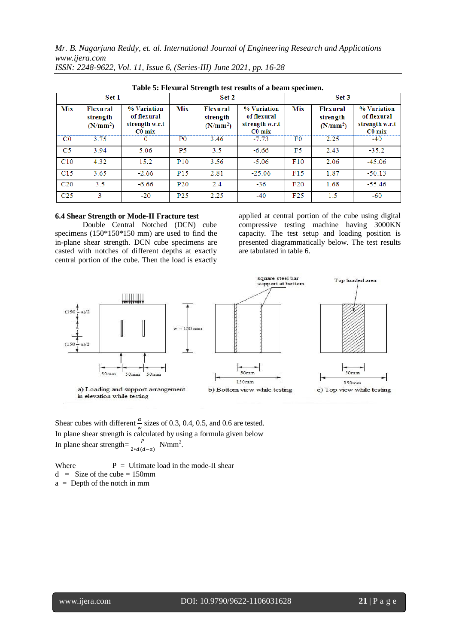|                 | Table 5: Flexural Strength test results of a beam specifient. |                                                          |                 |                                                     |                                                          |                |                                                     |                                                          |  |  |  |  |  |
|-----------------|---------------------------------------------------------------|----------------------------------------------------------|-----------------|-----------------------------------------------------|----------------------------------------------------------|----------------|-----------------------------------------------------|----------------------------------------------------------|--|--|--|--|--|
|                 | Set 1                                                         |                                                          |                 | Set 2                                               |                                                          | Set 3          |                                                     |                                                          |  |  |  |  |  |
| Mix             | <b>Flexural</b><br>strength<br>(N/mm <sup>2</sup> )           | % Variation<br>of flexural<br>strength w.r.t<br>$CO$ mix | Mix             | <b>Flexural</b><br>strength<br>(N/mm <sup>2</sup> ) | % Variation<br>of flexural<br>strength w.r.t<br>$CO$ mix | <b>Mix</b>     | <b>Flexural</b><br>strength<br>(N/mm <sup>2</sup> ) | % Variation<br>of flexural<br>strength w.r.t<br>$C0$ mix |  |  |  |  |  |
| $_{\rm C0}$     | 3.75                                                          | 0                                                        | P <sub>0</sub>  | 3.46                                                | $-7.73$                                                  | F <sub>0</sub> | 2.25                                                | $-40$                                                    |  |  |  |  |  |
| C5              | 3.94                                                          | 5.06                                                     | <b>P5</b>       | 3.5                                                 | $-6.66$                                                  | F5             | 2.43                                                | $-35.2$                                                  |  |  |  |  |  |
| C10             | 4.32                                                          | 15.2                                                     | P <sub>10</sub> | 3.56                                                | $-5.06$                                                  | F10            | 2.06                                                | $-45.06$                                                 |  |  |  |  |  |
| C15             | 3.65                                                          | $-2.66$                                                  | P <sub>15</sub> | 2.81                                                | $-25.06$                                                 | F15            | 1.87                                                | $-50.13$                                                 |  |  |  |  |  |
| C <sub>20</sub> | 3.5                                                           | $-6.66$                                                  | P <sub>20</sub> | 2.4                                                 | $-36$                                                    | F20            | 1.68                                                | $-55.46$                                                 |  |  |  |  |  |
| C <sub>25</sub> | 3                                                             | $-20$                                                    | P <sub>25</sub> | 2.25                                                | $-40$                                                    | F25            | 1.5                                                 | -60                                                      |  |  |  |  |  |

**Table 5: Flexural Strength test results of a beam specimen.**

# **6.4 Shear Strength or Mode-II Fracture test**

Double Central Notched (DCN) cube specimens (150\*150\*150 mm) are used to find the in-plane shear strength. DCN cube specimens are casted with notches of different depths at exactly central portion of the cube. Then the load is exactly applied at central portion of the cube using digital compressive testing machine having 3000KN capacity. The test setup and loading position is presented diagrammatically below. The test results are tabulated in table 6.



Shear cubes with different  $\frac{a}{b}$  $\frac{u}{w}$  sizes of 0.3, 0.4, 0.5, and 0.6 are tested. In plane shear strength is calculated by using a formula given below In plane shear strength= $\frac{p}{2*d(d-a)}$  N/mm<sup>2</sup>.

Where  $P =$  Ultimate load in the mode-II shear  $d =$  Size of the cube = 150mm a = Depth of the notch in mm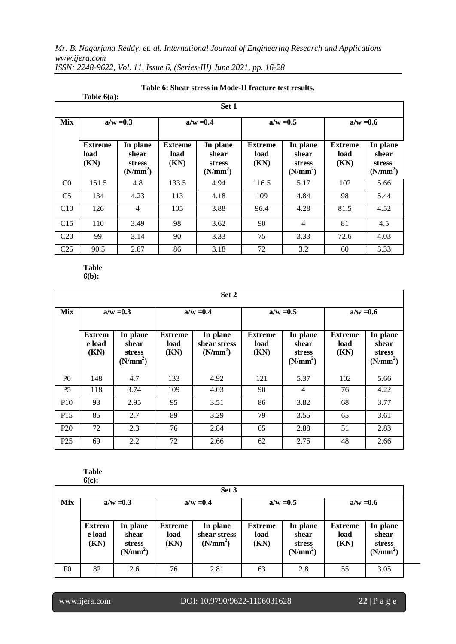|                 | Table $6(a)$ :                 |                                                            |                                |                                                            |                                |                                                            |                                |                                                            |  |
|-----------------|--------------------------------|------------------------------------------------------------|--------------------------------|------------------------------------------------------------|--------------------------------|------------------------------------------------------------|--------------------------------|------------------------------------------------------------|--|
|                 |                                |                                                            |                                | Set 1                                                      |                                |                                                            |                                |                                                            |  |
| <b>Mix</b>      |                                | $a/w = 0.3$                                                | $a/w = 0.4$                    |                                                            |                                | $a/w = 0.5$                                                | $a/w = 0.6$                    |                                                            |  |
|                 | <b>Extreme</b><br>load<br>(KN) | In plane<br>shear<br><b>stress</b><br>(N/mm <sup>2</sup> ) | <b>Extreme</b><br>load<br>(KN) | In plane<br>shear<br><b>stress</b><br>(N/mm <sup>2</sup> ) | <b>Extreme</b><br>load<br>(KN) | In plane<br>shear<br><b>stress</b><br>(N/mm <sup>2</sup> ) | <b>Extreme</b><br>load<br>(KN) | In plane<br>shear<br><b>stress</b><br>(N/mm <sup>2</sup> ) |  |
| C <sub>0</sub>  | 151.5                          | 4.8                                                        | 133.5                          | 4.94                                                       | 116.5                          | 5.17                                                       | 102                            | 5.66                                                       |  |
| C <sub>5</sub>  | 134                            | 4.23                                                       | 113                            | 4.18                                                       | 109                            | 4.84                                                       | 98                             | 5.44                                                       |  |
| C10             | 126                            | $\overline{4}$                                             | 105                            | 3.88                                                       | 96.4                           | 4.28                                                       | 81.5                           | 4.52                                                       |  |
| C15             | 110                            | 3.49                                                       | 98                             | 3.62                                                       | 90                             | 4                                                          | 81                             | 4.5                                                        |  |
| C20             | 99                             | 3.14                                                       | 90                             | 3.33                                                       | 75                             | 3.33                                                       | 72.6                           | 4.03                                                       |  |
| C <sub>25</sub> | 90.5                           | 2.87                                                       | 86                             | 3.18                                                       | 72                             | 3.2                                                        | 60                             | 3.33                                                       |  |

# **Table 6: Shear stress in Mode-II fracture test results.**

**Table 6(b):**

|                 | Set 2                           |                                                            |                                |                                                  |                                |                                                            |                                |                                                            |  |  |  |  |
|-----------------|---------------------------------|------------------------------------------------------------|--------------------------------|--------------------------------------------------|--------------------------------|------------------------------------------------------------|--------------------------------|------------------------------------------------------------|--|--|--|--|
| <b>Mix</b>      | $a/w = 0.3$                     |                                                            | $a/w = 0.4$                    |                                                  |                                | $a/w = 0.5$                                                | $a/w = 0.6$                    |                                                            |  |  |  |  |
|                 | <b>Extrem</b><br>e load<br>(KN) | In plane<br>shear<br><b>stress</b><br>(N/mm <sup>2</sup> ) | <b>Extreme</b><br>load<br>(KN) | In plane<br>shear stress<br>(N/mm <sup>2</sup> ) | <b>Extreme</b><br>load<br>(KN) | In plane<br>shear<br><b>stress</b><br>(N/mm <sup>2</sup> ) | <b>Extreme</b><br>load<br>(KN) | In plane<br>shear<br><b>stress</b><br>(N/mm <sup>2</sup> ) |  |  |  |  |
| P <sub>0</sub>  | 148                             | 4.7                                                        | 133                            | 4.92                                             | 121                            | 5.37                                                       | 102                            | 5.66                                                       |  |  |  |  |
| P <sub>5</sub>  | 118                             | 3.74                                                       | 109                            | 4.03                                             | 90                             | $\overline{4}$                                             | 76                             | 4.22                                                       |  |  |  |  |
| <b>P10</b>      | 93                              | 2.95                                                       | 95                             | 3.51                                             | 86                             | 3.82                                                       | 68                             | 3.77                                                       |  |  |  |  |
| P <sub>15</sub> | 85                              | 2.7                                                        | 89                             | 3.29                                             | 79                             | 3.55                                                       | 65                             | 3.61                                                       |  |  |  |  |
| P <sub>20</sub> | 72                              | 2.3                                                        | 76                             | 2.84                                             | 65                             | 2.88                                                       | 51                             | 2.83                                                       |  |  |  |  |
| P <sub>25</sub> | 69                              | 2.2                                                        | 72                             | 2.66                                             | 62                             | 2.75                                                       | 48                             | 2.66                                                       |  |  |  |  |

#### **Table 6(c):**

|                | Set 3                           |                                                            |                                |                                                  |                                |                                                            |                                |                                                            |  |  |  |  |  |
|----------------|---------------------------------|------------------------------------------------------------|--------------------------------|--------------------------------------------------|--------------------------------|------------------------------------------------------------|--------------------------------|------------------------------------------------------------|--|--|--|--|--|
| Mix            |                                 | $a/w = 0.3$<br>$a/w = 0.4$                                 |                                |                                                  |                                | $a/w = 0.5$                                                | $a/w = 0.6$                    |                                                            |  |  |  |  |  |
|                | <b>Extrem</b><br>e load<br>(KN) | In plane<br>shear<br><b>stress</b><br>(N/mm <sup>2</sup> ) | <b>Extreme</b><br>load<br>(KN) | In plane<br>shear stress<br>(N/mm <sup>2</sup> ) | <b>Extreme</b><br>load<br>(KN) | In plane<br>shear<br><b>stress</b><br>(N/mm <sup>2</sup> ) | <b>Extreme</b><br>load<br>(KN) | In plane<br>shear<br><b>stress</b><br>(N/mm <sup>2</sup> ) |  |  |  |  |  |
| F <sub>0</sub> | 82                              | 2.6                                                        | 76                             | 2.81                                             | 63                             | 2.8                                                        | 55                             | 3.05                                                       |  |  |  |  |  |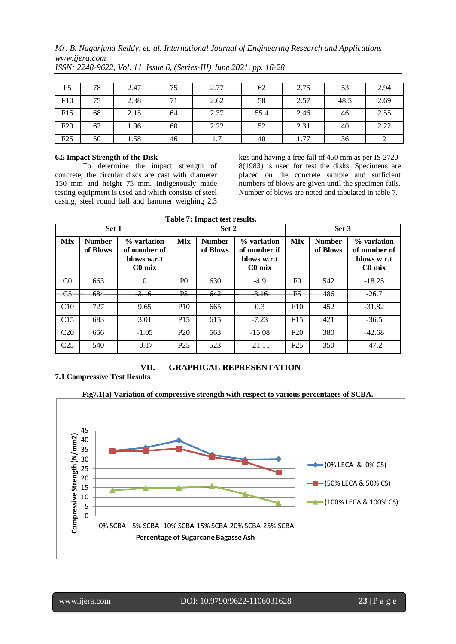| F5  | 78 | 2.47 | 75 | 2.77 | 62   | 2.75 | 53   | 2.94 |
|-----|----|------|----|------|------|------|------|------|
| F10 | 75 | 2.38 | 71 | 2.62 | 58   | 2.57 | 48.5 | 2.69 |
| F15 | 68 | 2.15 | 64 | 2.37 | 55.4 | 2.46 | 46   | 2.55 |
| F20 | 62 | 1.96 | 60 | 2.22 | 52   | 2.31 | 40   | 2.22 |
| F25 | 50 | 1.58 | 46 | 1.7  | 40   | 1.77 | 36   |      |

*ISSN: 2248-9622, Vol. 11, Issue 6, (Series-III) June 2021, pp. 16-28*

# **6.5 Impact Strength of the Disk**

To determine the impact strength of concrete, the circular discs are cast with diameter 150 mm and height 75 mm. Indigenously made testing equipment is used and which consists of steel casing, steel round ball and hammer weighing 2.3 kgs and having a free fall of 450 mm as per IS 2720- 8(1983) is used for test the disks. Specimens are placed on the concrete sample and sufficient numbers of blows are given until the specimen fails. Number of blows are noted and tabulated in table 7.

| Set 1                 |                           |                                                        | Set 2           |                           |                                                        | Set 3          |                           |                                                        |
|-----------------------|---------------------------|--------------------------------------------------------|-----------------|---------------------------|--------------------------------------------------------|----------------|---------------------------|--------------------------------------------------------|
| <b>Mix</b>            | <b>Number</b><br>of Blows | % variation<br>of number of<br>blows w.r.t<br>$C0$ mix | <b>Mix</b>      | <b>Number</b><br>of Blows | % variation<br>of number if<br>blows w.r.t<br>$C0$ mix | <b>Mix</b>     | <b>Number</b><br>of Blows | % variation<br>of number of<br>blows w.r.t<br>$C0$ mix |
| C <sub>0</sub>        | 663                       | $\Omega$                                               | P <sub>0</sub>  | 630                       | $-4.9$                                                 | F <sub>0</sub> | 542                       | $-18.25$                                               |
| $\overline{\text{e}}$ | 684                       | <del>3.16</del>                                        | P <sub>5</sub>  | 642                       | $-3.16$                                                | F5             | 486                       | -26.7–                                                 |
| C10                   | 727                       | 9.65                                                   | <b>P10</b>      | 665                       | 0.3                                                    | F10            | 452                       | $-31.82$                                               |
| C <sub>15</sub>       | 683                       | 3.01                                                   | P <sub>15</sub> | 615                       | $-7.23$                                                | F15            | 421                       | $-36.5$                                                |
| C <sub>20</sub>       | 656                       | $-1.05$                                                | P <sub>20</sub> | 563                       | $-15.08$                                               | F20            | 380                       | $-42.68$                                               |
| C <sub>25</sub>       | 540                       | $-0.17$                                                | P <sub>25</sub> | 523                       | $-21.11$                                               | F25            | 350                       | $-47.2$                                                |

# **VII. GRAPHICAL REPRESENTATION**

**7.1 Compressive Test Results**



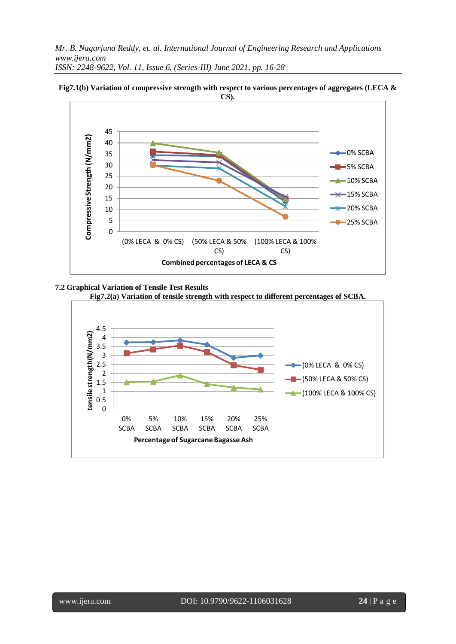**CS).** 45 Compressive Strength (N/mm2) **Compressive Strength (N/mm2)** 40 0% SCBA 35 30 5% SCBA 25 -10% SCBA 20  $-15%$  SCBA 15 20% SCBA 10 5 25% SCBA  $\overline{0}$ (0% LECA & 0% CS) (50% LECA & 50% (100% LECA & 100% CS) CS) **Combined percentages of LECA & CS**

**Fig7.1(b) Variation of compressive strength with respect to various percentages of aggregates (LECA &** 

# **7.2 Graphical Variation of Tensile Test Results**



**Fig7.2(a) Variation of tensile strength with respect to different percentages of SCBA.**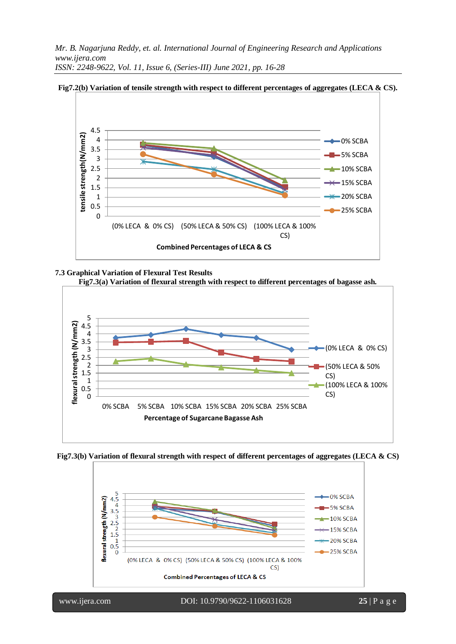

**Fig7.2(b) Variation of tensile strength with respect to different percentages of aggregates (LECA & CS).**

# **7.3 Graphical Variation of Flexural Test Results**



**Fig7.3(b) Variation of flexural strength with respect of different percentages of aggregates (LECA & CS)**

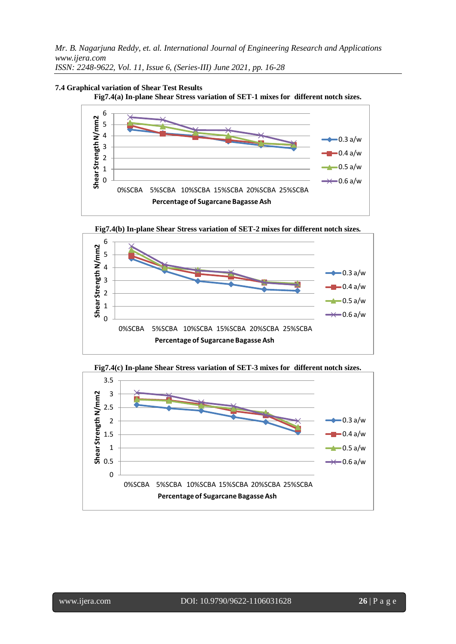*ISSN: 2248-9622, Vol. 11, Issue 6, (Series-III) June 2021, pp. 16-28*



**Fig7.4(a) In-plane Shear Stress variation of SET-1 mixes for different notch sizes.**



**Fig7.4(b) In-plane Shear Stress variation of SET-2 mixes for different notch sizes.** 6



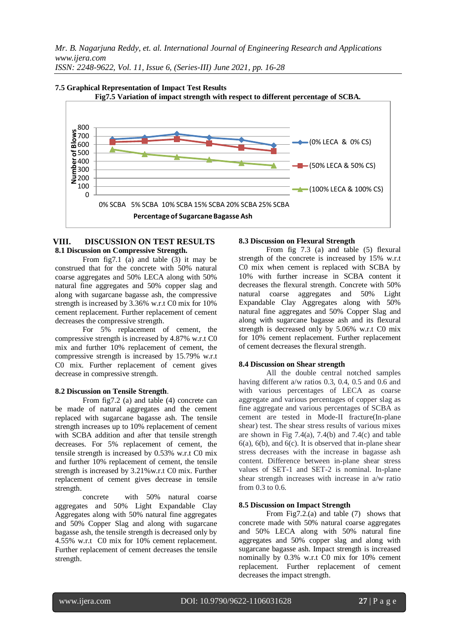*ISSN: 2248-9622, Vol. 11, Issue 6, (Series-III) June 2021, pp. 16-28*



# **VIII. DISCUSSION ON TEST RESULTS 8.1 Discussion on Compressive Strength.**

From fig7.1 (a) and table (3) it may be construed that for the concrete with 50% natural coarse aggregates and 50% LECA along with 50% natural fine aggregates and 50% copper slag and along with sugarcane bagasse ash, the compressive strength is increased by 3.36% w.r.t C0 mix for 10% cement replacement. Further replacement of cement decreases the compressive strength.

For 5% replacement of cement, the compressive strength is increased by 4.87% w.r.t C0 mix and further 10% replacement of cement, the compressive strength is increased by 15.79% w.r.t C0 mix. Further replacement of cement gives decrease in compressive strength.

# **8.2 Discussion on Tensile Strength**.

From fig7.2 (a) and table (4) concrete can be made of natural aggregates and the cement replaced with sugarcane bagasse ash. The tensile strength increases up to 10% replacement of cement with SCBA addition and after that tensile strength decreases. For 5% replacement of cement, the tensile strength is increased by 0.53% w.r.t C0 mix and further 10% replacement of cement, the tensile strength is increased by 3.21%w.r.t C0 mix. Further replacement of cement gives decrease in tensile strength.

concrete with 50% natural coarse aggregates and 50% Light Expandable Clay Aggregates along with 50% natural fine aggregates and 50% Copper Slag and along with sugarcane bagasse ash, the tensile strength is decreased only by 4.55% w.r.t C0 mix for 10% cement replacement. Further replacement of cement decreases the tensile strength.

# **8.3 Discussion on Flexural Strength**

From fig 7.3 (a) and table (5) flexural strength of the concrete is increased by 15% w.r.t C0 mix when cement is replaced with SCBA by 10% with further increase in SCBA content it decreases the flexural strength. Concrete with 50% natural coarse aggregates and 50% Light Expandable Clay Aggregates along with 50% natural fine aggregates and 50% Copper Slag and along with sugarcane bagasse ash and its flexural strength is decreased only by 5.06% w.r.t C0 mix for 10% cement replacement. Further replacement of cement decreases the flexural strength.

#### **8.4 Discussion on Shear strength**

All the double central notched samples having different a/w ratios 0.3, 0.4, 0.5 and 0.6 and with various percentages of LECA as coarse aggregate and various percentages of copper slag as fine aggregate and various percentages of SCBA as cement are tested in Mode-II fracture(In-plane shear) test. The shear stress results of various mixes are shown in Fig  $7.4(a)$ ,  $7.4(b)$  and  $7.4(c)$  and table  $6(a)$ ,  $6(b)$ , and  $6(c)$ . It is observed that in-plane shear stress decreases with the increase in bagasse ash content. Difference between in-plane shear stress values of SET-1 and SET-2 is nominal. In-plane shear strength increases with increase in a/w ratio from 0.3 to 0.6.

#### **8.5 Discussion on Impact Strength**

From Fig7.2.(a) and table (7) shows that concrete made with 50% natural coarse aggregates and 50% LECA along with 50% natural fine aggregates and 50% copper slag and along with sugarcane bagasse ash. Impact strength is increased nominally by 0.3% w.r.t C0 mix for 10% cement replacement. Further replacement of cement decreases the impact strength.